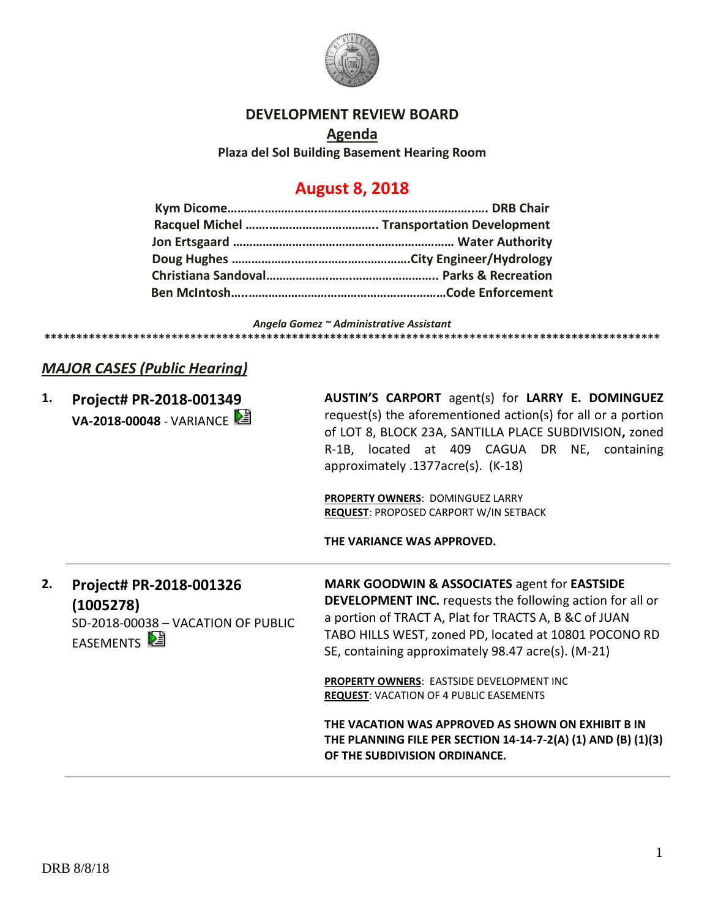

#### **DEVELOPMENT REVIEW BOARD**

**Agenda Plaza del Sol Building Basement Hearing Room**

## **August 8, 2018**

*Angela Gomez ~ Administrative Assistant*

## **\*\*\*\*\*\*\*\*\*\*\*\*\*\*\*\*\*\*\*\*\*\*\*\*\*\*\*\*\*\*\*\*\*\*\*\*\*\*\*\*\*\*\*\*\*\*\*\*\*\*\*\*\*\*\*\*\*\*\*\*\*\*\*\*\*\*\*\*\*\*\*\*\*\*\*\*\*\*\*\*\*\*\*\*\*\*\*\*\*\*\*\*\*\*\*\*\***

## *MAJOR CASES (Public Hearing)*

| 1. | Project# PR-2018-001349<br>VA-2018-00048 - VARIANCE                                                     | AUSTIN'S CARPORT agent(s) for LARRY E. DOMINGUEZ<br>request(s) the aforementioned action(s) for all or a portion<br>of LOT 8, BLOCK 23A, SANTILLA PLACE SUBDIVISION, zoned<br>R-1B, located at 409 CAGUA DR NE, containing<br>approximately .1377acre(s). (K-18)                                                                                                                                                                                                                                                                                       |
|----|---------------------------------------------------------------------------------------------------------|--------------------------------------------------------------------------------------------------------------------------------------------------------------------------------------------------------------------------------------------------------------------------------------------------------------------------------------------------------------------------------------------------------------------------------------------------------------------------------------------------------------------------------------------------------|
|    |                                                                                                         | PROPERTY OWNERS: DOMINGUEZ LARRY<br><b>REQUEST: PROPOSED CARPORT W/IN SETBACK</b><br>THE VARIANCE WAS APPROVED.                                                                                                                                                                                                                                                                                                                                                                                                                                        |
| 2. | Project# PR-2018-001326<br>(1005278)<br>SD-2018-00038 - VACATION OF PUBLIC<br>EASEMENTS <sup>[24]</sup> | MARK GOODWIN & ASSOCIATES agent for EASTSIDE<br><b>DEVELOPMENT INC.</b> requests the following action for all or<br>a portion of TRACT A, Plat for TRACTS A, B &C of JUAN<br>TABO HILLS WEST, zoned PD, located at 10801 POCONO RD<br>SE, containing approximately 98.47 acre(s). (M-21)<br><b>PROPERTY OWNERS: EASTSIDE DEVELOPMENT INC</b><br><b>REQUEST: VACATION OF 4 PUBLIC EASEMENTS</b><br>THE VACATION WAS APPROVED AS SHOWN ON EXHIBIT B IN<br>THE PLANNING FILE PER SECTION 14-14-7-2(A) (1) AND (B) (1)(3)<br>OF THE SUBDIVISION ORDINANCE. |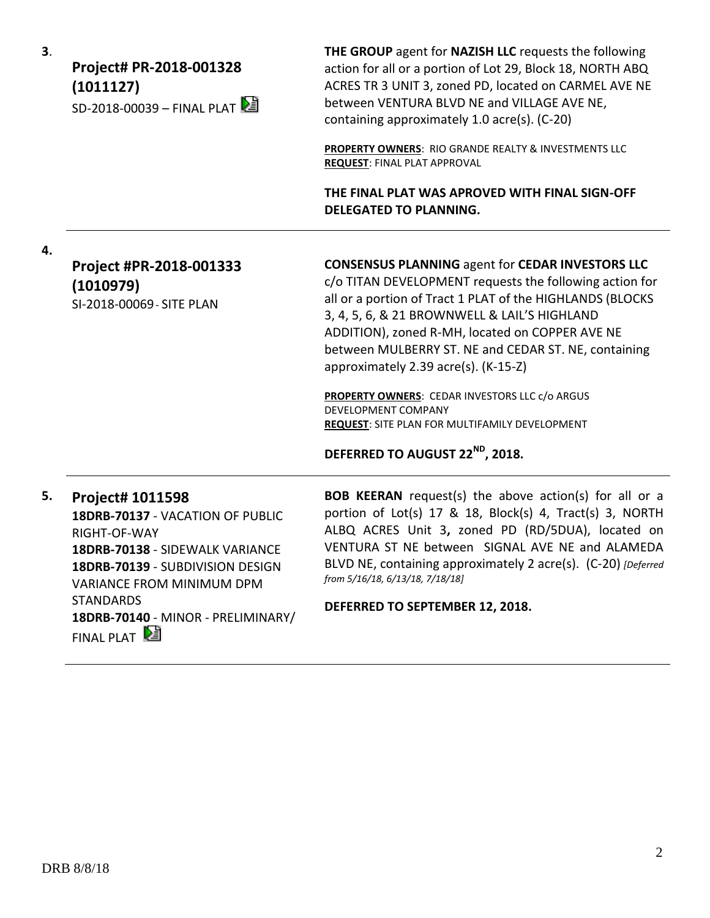**3**.

## **Project# PR-2018-001328 (1011127)**  $SD-2018-00039 - FINAI PIAT$

**THE GROUP** agent for **NAZISH LLC** requests the following action for all or a portion of Lot 29, Block 18, NORTH ABQ ACRES TR 3 UNIT 3, zoned PD, located on CARMEL AVE NE between VENTURA BLVD NE and VILLAGE AVE NE, containing approximately 1.0 acre(s). (C-20)

**PROPERTY OWNERS**: RIO GRANDE REALTY & INVESTMENTS LLC **REQUEST**: FINAL PLAT APPROVAL

**THE FINAL PLAT WAS APROVED WITH FINAL SIGN-OFF DELEGATED TO PLANNING.**

**4.**

## **Project #PR-2018-001333 (1010979)** SI-2018-00069- SITE PLAN

#### **CONSENSUS PLANNING** agent for **CEDAR INVESTORS LLC**

c/o TITAN DEVELOPMENT requests the following action for all or a portion of Tract 1 PLAT of the HIGHLANDS (BLOCKS 3, 4, 5, 6, & 21 BROWNWELL & LAIL'S HIGHLAND ADDITION), zoned R-MH, located on COPPER AVE NE between MULBERRY ST. NE and CEDAR ST. NE, containing approximately 2.39 acre(s). (K-15-Z)

**PROPERTY OWNERS**: CEDAR INVESTORS LLC c/o ARGUS DEVELOPMENT COMPANY **REQUEST**: SITE PLAN FOR MULTIFAMILY DEVELOPMENT

**DEFERRED TO AUGUST 22ND, 2018.**

## **5. Project# 1011598**

**18DRB-70137** - VACATION OF PUBLIC RIGHT-OF-WAY **18DRB-70138** - SIDEWALK VARIANCE **18DRB-70139** - SUBDIVISION DESIGN VARIANCE FROM MINIMUM DPM **STANDARDS 18DRB-70140** - MINOR - PRELIMINARY/ FINAL PLAT

**BOB KEERAN** request(s) the above action(s) for all or a portion of Lot(s) 17 & 18, Block(s) 4, Tract(s) 3, NORTH ALBQ ACRES Unit 3**,** zoned PD (RD/5DUA), located on VENTURA ST NE between SIGNAL AVE NE and ALAMEDA BLVD NE, containing approximately 2 acre(s). (C-20) *[Deferred from 5/16/18, 6/13/18, 7/18/18]*

**DEFERRED TO SEPTEMBER 12, 2018.**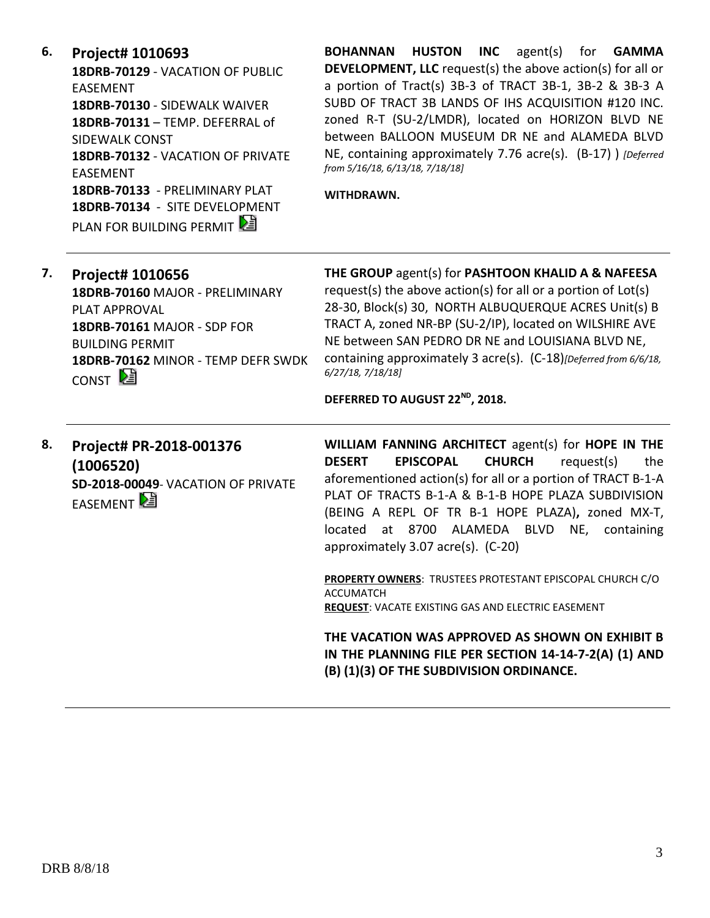**6. Project# 1010693**

**18DRB-70129** - VACATION OF PUBLIC EASEMENT **18DRB-70130** - SIDEWALK WAIVER **18DRB-70131** – TEMP. DEFERRAL of SIDEWALK CONST **18DRB-70132** - VACATION OF PRIVATE EASEMENT **18DRB-70133** - PRELIMINARY PLAT **18DRB-70134** - SITE DEVELOPMENT PLAN FOR BUILDING PERMIT

**BOHANNAN HUSTON INC** agent(s) for **GAMMA DEVELOPMENT, LLC** request(s) the above action(s) for all or a portion of Tract(s) 3B-3 of TRACT 3B-1, 3B-2 & 3B-3 A SUBD OF TRACT 3B LANDS OF IHS ACQUISITION #120 INC. zoned R-T (SU-2/LMDR), located on HORIZON BLVD NE between BALLOON MUSEUM DR NE and ALAMEDA BLVD NE, containing approximately 7.76 acre(s). (B-17) ) *[Deferred from 5/16/18, 6/13/18, 7/18/18]*

**WITHDRAWN.**

| 7. | Project# 1010656                   | THE GROUP agent(s) for PASHTOON KHALID A & NAFEESA               |
|----|------------------------------------|------------------------------------------------------------------|
|    | 18DRB-70160 MAJOR - PRELIMINARY    | request(s) the above action(s) for all or a portion of Lot(s)    |
|    | <b>PLAT APPROVAL</b>               | 28-30, Block(s) 30, NORTH ALBUQUERQUE ACRES Unit(s) B            |
|    | 18DRB-70161 MAJOR - SDP FOR        | TRACT A, zoned NR-BP (SU-2/IP), located on WILSHIRE AVE          |
|    | <b>BUILDING PERMIT</b>             | NE between SAN PEDRO DR NE and LOUISIANA BLVD NE,                |
|    | 18DRB-70162 MINOR - TEMP DEFR SWDK | containing approximately 3 acre(s). (C-18)[Deferred from 6/6/18, |
|    | CONST $\mathbb{E}$                 | 6/27/18, 7/18/18]                                                |
|    |                                    | DEFERRED TO AUGUST 22 <sup>ND</sup> , 2018.                      |

**8. Project# PR-2018-001376 (1006520) SD-2018-00049**- VACATION OF PRIVATE **EASEMENT** 

**WILLIAM FANNING ARCHITECT** agent(s) for **HOPE IN THE DESERT EPISCOPAL CHURCH** request(s) the aforementioned action(s) for all or a portion of TRACT B-1-A PLAT OF TRACTS B-1-A & B-1-B HOPE PLAZA SUBDIVISION (BEING A REPL OF TR B-1 HOPE PLAZA)**,** zoned MX-T, located at 8700 ALAMEDA BLVD NE, containing approximately 3.07 acre(s). (C-20)

**PROPERTY OWNERS**: TRUSTEES PROTESTANT EPISCOPAL CHURCH C/O ACCUMATCH **REQUEST**: VACATE EXISTING GAS AND ELECTRIC EASEMENT

**THE VACATION WAS APPROVED AS SHOWN ON EXHIBIT B IN THE PLANNING FILE PER SECTION 14-14-7-2(A) (1) AND (B) (1)(3) OF THE SUBDIVISION ORDINANCE.**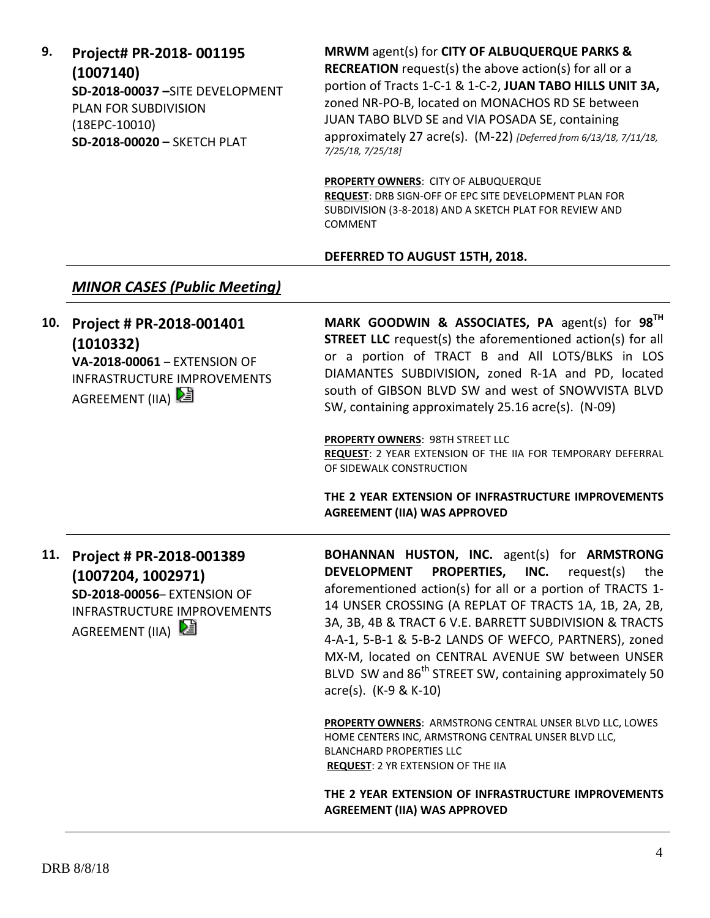#### **9. Project# PR-2018- 001195 (1007140) SD-2018-00037 –**SITE DEVELOPMENT PLAN FOR SUBDIVISION (18EPC-10010) **SD-2018-00020 –** SKETCH PLAT **RECREATION** request(s) the above action(s) for all or a portion of Tracts 1-C-1 & 1-C-2, **JUAN TABO HILLS UNIT 3A,**  zoned NR-PO-B, located on MONACHOS RD SE between JUAN TABO BLVD SE and VIA POSADA SE, containing approximately 27 acre(s). (M-22) *[Deferred from 6/13/18, 7/11/18, 7/25/18, 7/25/18]* **PROPERTY OWNERS**: CITY OF ALBUQUERQUE **REQUEST**: DRB SIGN-OFF OF EPC SITE DEVELOPMENT PLAN FOR SUBDIVISION (3-8-2018) AND A SKETCH PLAT FOR REVIEW AND COMMENT **DEFERRED TO AUGUST 15TH, 2018.** *MINOR CASES (Public Meeting)* **10. Project # PR-2018-001401 (1010332) VA-2018-00061** – EXTENSION OF INFRASTRUCTURE IMPROVEMENTS AGREEMENT (IIA) 2 **MARK GOODWIN & ASSOCIATES, PA** agent(s) for **98TH STREET LLC** request(s) the aforementioned action(s) for all or a portion of TRACT B and All LOTS/BLKS in LOS DIAMANTES SUBDIVISION**,** zoned R-1A and PD, located south of GIBSON BLVD SW and west of SNOWVISTA BLVD SW, containing approximately 25.16 acre(s). (N-09) **PROPERTY OWNERS**: 98TH STREET LLC **REQUEST**: 2 YEAR EXTENSION OF THE IIA FOR TEMPORARY DEFERRAL OF SIDEWALK CONSTRUCTION **THE 2 YEAR EXTENSION OF INFRASTRUCTURE IMPROVEMENTS AGREEMENT (IIA) WAS APPROVED 11. Project # PR-2018-001389 (1007204, 1002971) SD-2018-00056**– EXTENSION OF INFRASTRUCTURE IMPROVEMENTS AGREEMENT (IIA) **BOHANNAN HUSTON, INC.** agent(s) for **ARMSTRONG DEVELOPMENT PROPERTIES, INC.** request(s) the aforementioned action(s) for all or a portion of TRACTS 1- 14 UNSER CROSSING (A REPLAT OF TRACTS 1A, 1B, 2A, 2B, 3A, 3B, 4B & TRACT 6 V.E. BARRETT SUBDIVISION & TRACTS 4-A-1, 5-B-1 & 5-B-2 LANDS OF WEFCO, PARTNERS), zoned MX-M, located on CENTRAL AVENUE SW between UNSER BLVD SW and  $86<sup>th</sup>$  STREET SW, containing approximately 50 acre(s). (K-9 & K-10) **PROPERTY OWNERS**: ARMSTRONG CENTRAL UNSER BLVD LLC, LOWES HOME CENTERS INC, ARMSTRONG CENTRAL UNSER BLVD LLC, BLANCHARD PROPERTIES LLC **REQUEST**: 2 YR EXTENSION OF THE IIA **THE 2 YEAR EXTENSION OF INFRASTRUCTURE IMPROVEMENTS AGREEMENT (IIA) WAS APPROVED**

**MRWM** agent(s) for **CITY OF ALBUQUERQUE PARKS &**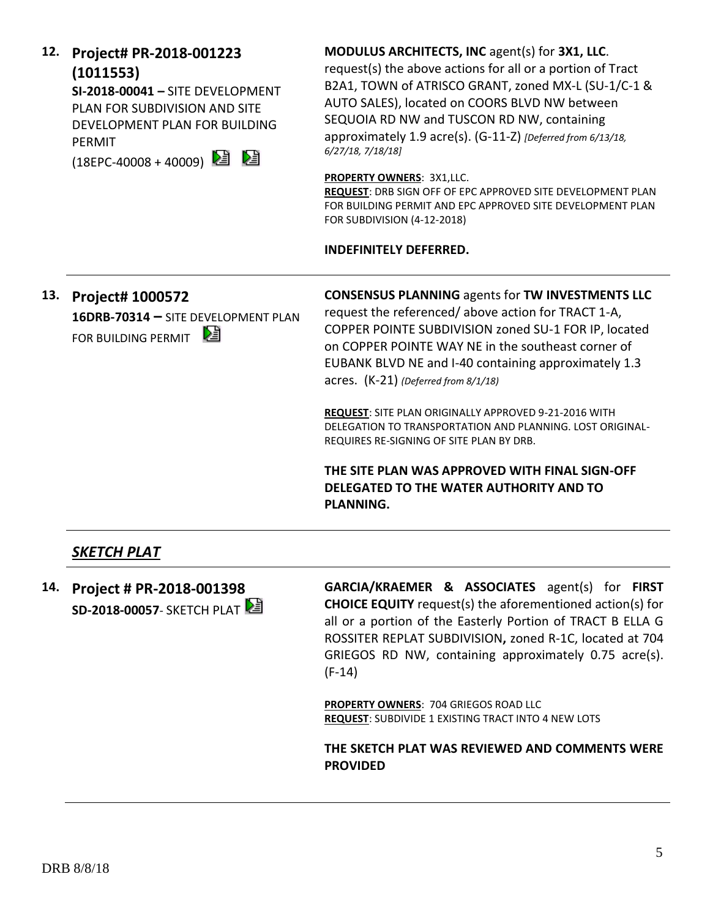DRB 8/8/18

## **12. Project# PR-2018-001223 (1011553)**

**SI-2018-00041 –** SITE DEVELOPMENT PLAN FOR SUBDIVISION AND SITE DEVELOPMENT PLAN FOR BUILDING PERMIT

 $(18EPC-40008 + 40009)$ 

## **MODULUS ARCHITECTS, INC** agent(s) for **3X1, LLC**. request(s) the above actions for all or a portion of Tract B2A1, TOWN of ATRISCO GRANT, zoned MX-L (SU-1/C-1 & AUTO SALES), located on COORS BLVD NW between SEQUOIA RD NW and TUSCON RD NW, containing

approximately 1.9 acre(s). (G-11-Z) *[Deferred from 6/13/18,* 

**PROPERTY OWNERS**: 3X1,LLC.

*6/27/18, 7/18/18]*

**REQUEST**: DRB SIGN OFF OF EPC APPROVED SITE DEVELOPMENT PLAN FOR BUILDING PERMIT AND EPC APPROVED SITE DEVELOPMENT PLAN FOR SUBDIVISION (4-12-2018)

#### **INDEFINITELY DEFERRED.**

**13. Project# 1000572 16DRB-70314 –** SITE DEVELOPMENT PLAN FOR BUILDING PERMIT

**CONSENSUS PLANNING** agents for **TW INVESTMENTS LLC**

request the referenced/ above action for TRACT 1-A, COPPER POINTE SUBDIVISION zoned SU-1 FOR IP, located on COPPER POINTE WAY NE in the southeast corner of EUBANK BLVD NE and I-40 containing approximately 1.3 acres. (K-21) *(Deferred from 8/1/18)*

**REQUEST**: SITE PLAN ORIGINALLY APPROVED 9-21-2016 WITH DELEGATION TO TRANSPORTATION AND PLANNING. LOST ORIGINAL-REQUIRES RE-SIGNING OF SITE PLAN BY DRB.

**THE SITE PLAN WAS APPROVED WITH FINAL SIGN-OFF DELEGATED TO THE WATER AUTHORITY AND TO PLANNING.**

## *SKETCH PLAT*

**14. Project # PR-2018-001398 SD-2018-00057- SKETCH PLAT**  **GARCIA/KRAEMER & ASSOCIATES** agent(s) for **FIRST CHOICE EQUITY** request(s) the aforementioned action(s) for all or a portion of the Easterly Portion of TRACT B ELLA G ROSSITER REPLAT SUBDIVISION**,** zoned R-1C, located at 704 GRIEGOS RD NW, containing approximately 0.75 acre(s). (F-14)

**PROPERTY OWNERS**: 704 GRIEGOS ROAD LLC **REQUEST**: SUBDIVIDE 1 EXISTING TRACT INTO 4 NEW LOTS

**THE SKETCH PLAT WAS REVIEWED AND COMMENTS WERE PROVIDED**